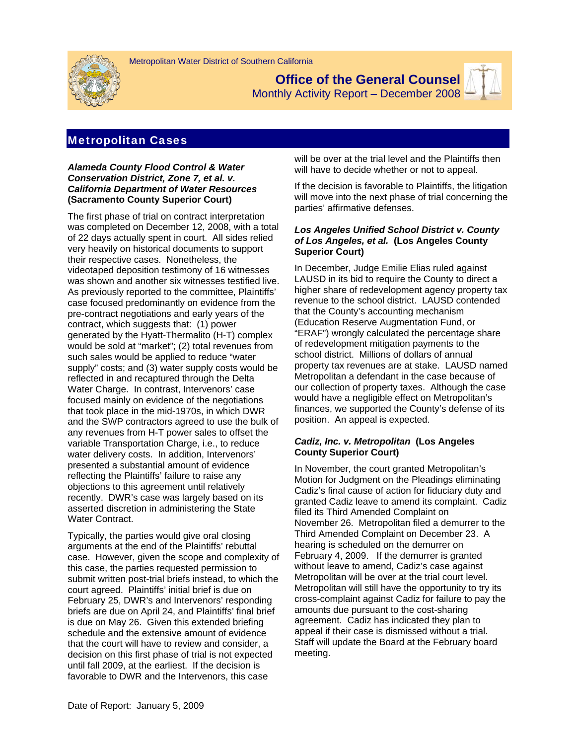

**Office of the General Counsel** 





# Metropolitan Cases

### *Alameda County Flood Control & Water Conservation District, Zone 7, et al. v. California Department of Water Resources*  **(Sacramento County Superior Court)**

The first phase of trial on contract interpretation was completed on December 12, 2008, with a total of 22 days actually spent in court. All sides relied very heavily on historical documents to support their respective cases. Nonetheless, the videotaped deposition testimony of 16 witnesses was shown and another six witnesses testified live. As previously reported to the committee, Plaintiffs' case focused predominantly on evidence from the pre-contract negotiations and early years of the contract, which suggests that: (1) power generated by the Hyatt-Thermalito (H-T) complex would be sold at "market"; (2) total revenues from such sales would be applied to reduce "water supply" costs; and (3) water supply costs would be reflected in and recaptured through the Delta Water Charge. In contrast, Intervenors' case focused mainly on evidence of the negotiations that took place in the mid-1970s, in which DWR and the SWP contractors agreed to use the bulk of any revenues from H-T power sales to offset the variable Transportation Charge, i.e., to reduce water delivery costs. In addition, Intervenors' presented a substantial amount of evidence reflecting the Plaintiffs' failure to raise any objections to this agreement until relatively recently. DWR's case was largely based on its asserted discretion in administering the State Water Contract.

Typically, the parties would give oral closing arguments at the end of the Plaintiffs' rebuttal case. However, given the scope and complexity of this case, the parties requested permission to submit written post-trial briefs instead, to which the court agreed. Plaintiffs' initial brief is due on February 25, DWR's and Intervenors' responding briefs are due on April 24, and Plaintiffs' final brief is due on May 26. Given this extended briefing schedule and the extensive amount of evidence that the court will have to review and consider, a decision on this first phase of trial is not expected until fall 2009, at the earliest. If the decision is favorable to DWR and the Intervenors, this case

will be over at the trial level and the Plaintiffs then will have to decide whether or not to appeal.

If the decision is favorable to Plaintiffs, the litigation will move into the next phase of trial concerning the parties' affirmative defenses.

### *Los Angeles Unified School District v. County of Los Angeles, et al.* **(Los Angeles County Superior Court)**

In December, Judge Emilie Elias ruled against LAUSD in its bid to require the County to direct a higher share of redevelopment agency property tax revenue to the school district. LAUSD contended that the County's accounting mechanism (Education Reserve Augmentation Fund, or "ERAF") wrongly calculated the percentage share of redevelopment mitigation payments to the school district. Millions of dollars of annual property tax revenues are at stake. LAUSD named Metropolitan a defendant in the case because of our collection of property taxes. Although the case would have a negligible effect on Metropolitan's finances, we supported the County's defense of its position. An appeal is expected.

## *Cadiz, Inc. v. Metropolitan* **(Los Angeles County Superior Court)**

In November, the court granted Metropolitan's Motion for Judgment on the Pleadings eliminating Cadiz's final cause of action for fiduciary duty and granted Cadiz leave to amend its complaint. Cadiz filed its Third Amended Complaint on November 26. Metropolitan filed a demurrer to the Third Amended Complaint on December 23. A hearing is scheduled on the demurrer on February 4, 2009. If the demurrer is granted without leave to amend, Cadiz's case against Metropolitan will be over at the trial court level. Metropolitan will still have the opportunity to try its cross-complaint against Cadiz for failure to pay the amounts due pursuant to the cost-sharing agreement. Cadiz has indicated they plan to appeal if their case is dismissed without a trial. Staff will update the Board at the February board meeting.